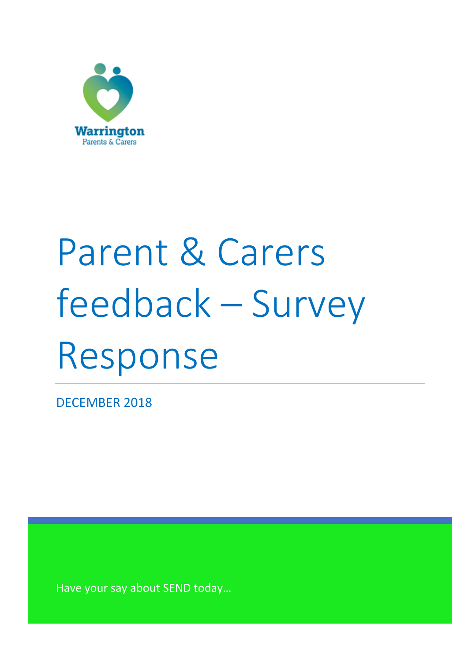

# Parent & Carers feedback – Survey Response

DECEMBER 2018

Have your say about SEND today…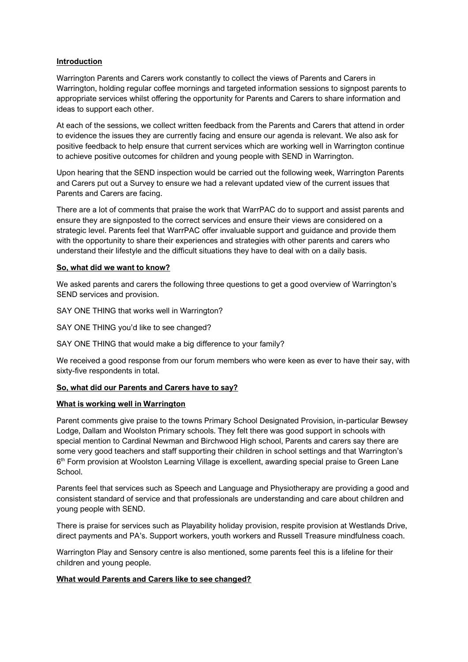### **Introduction**

Warrington Parents and Carers work constantly to collect the views of Parents and Carers in Warrington, holding regular coffee mornings and targeted information sessions to signpost parents to appropriate services whilst offering the opportunity for Parents and Carers to share information and ideas to support each other.

At each of the sessions, we collect written feedback from the Parents and Carers that attend in order to evidence the issues they are currently facing and ensure our agenda is relevant. We also ask for positive feedback to help ensure that current services which are working well in Warrington continue to achieve positive outcomes for children and young people with SEND in Warrington.

Upon hearing that the SEND inspection would be carried out the following week, Warrington Parents and Carers put out a Survey to ensure we had a relevant updated view of the current issues that Parents and Carers are facing.

There are a lot of comments that praise the work that WarrPAC do to support and assist parents and ensure they are signposted to the correct services and ensure their views are considered on a strategic level. Parents feel that WarrPAC offer invaluable support and guidance and provide them with the opportunity to share their experiences and strategies with other parents and carers who understand their lifestyle and the difficult situations they have to deal with on a daily basis.

### **So, what did we want to know?**

We asked parents and carers the following three questions to get a good overview of Warrington's SEND services and provision.

SAY ONE THING that works well in Warrington?

SAY ONE THING you'd like to see changed?

SAY ONE THING that would make a big difference to your family?

We received a good response from our forum members who were keen as ever to have their say, with sixty-five respondents in total.

### **So, what did our Parents and Carers have to say?**

### **What is working well in Warrington**

Parent comments give praise to the towns Primary School Designated Provision, in-particular Bewsey Lodge, Dallam and Woolston Primary schools. They felt there was good support in schools with special mention to Cardinal Newman and Birchwood High school, Parents and carers say there are some very good teachers and staff supporting their children in school settings and that Warrington's 6<sup>th</sup> Form provision at Woolston Learning Village is excellent, awarding special praise to Green Lane School.

Parents feel that services such as Speech and Language and Physiotherapy are providing a good and consistent standard of service and that professionals are understanding and care about children and young people with SEND.

There is praise for services such as Playability holiday provision, respite provision at Westlands Drive, direct payments and PA's. Support workers, youth workers and Russell Treasure mindfulness coach.

Warrington Play and Sensory centre is also mentioned, some parents feel this is a lifeline for their children and young people.

### **What would Parents and Carers like to see changed?**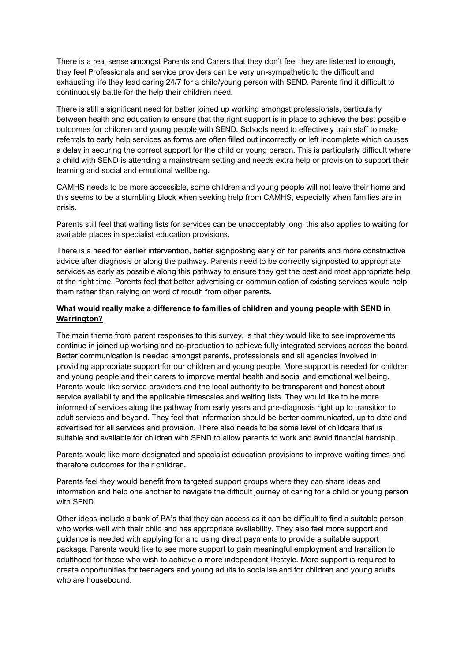There is a real sense amongst Parents and Carers that they don't feel they are listened to enough, they feel Professionals and service providers can be very un-sympathetic to the difficult and exhausting life they lead caring 24/7 for a child/young person with SEND. Parents find it difficult to continuously battle for the help their children need.

There is still a significant need for better joined up working amongst professionals, particularly between health and education to ensure that the right support is in place to achieve the best possible outcomes for children and young people with SEND. Schools need to effectively train staff to make referrals to early help services as forms are often filled out incorrectly or left incomplete which causes a delay in securing the correct support for the child or young person. This is particularly difficult where a child with SEND is attending a mainstream setting and needs extra help or provision to support their learning and social and emotional wellbeing.

CAMHS needs to be more accessible, some children and young people will not leave their home and this seems to be a stumbling block when seeking help from CAMHS, especially when families are in crisis.

Parents still feel that waiting lists for services can be unacceptably long, this also applies to waiting for available places in specialist education provisions.

There is a need for earlier intervention, better signposting early on for parents and more constructive advice after diagnosis or along the pathway. Parents need to be correctly signposted to appropriate services as early as possible along this pathway to ensure they get the best and most appropriate help at the right time. Parents feel that better advertising or communication of existing services would help them rather than relying on word of mouth from other parents.

## **What would really make a difference to families of children and young people with SEND in Warrington?**

The main theme from parent responses to this survey, is that they would like to see improvements continue in joined up working and co-production to achieve fully integrated services across the board. Better communication is needed amongst parents, professionals and all agencies involved in providing appropriate support for our children and young people. More support is needed for children and young people and their carers to improve mental health and social and emotional wellbeing. Parents would like service providers and the local authority to be transparent and honest about service availability and the applicable timescales and waiting lists. They would like to be more informed of services along the pathway from early years and pre-diagnosis right up to transition to adult services and beyond. They feel that information should be better communicated, up to date and advertised for all services and provision. There also needs to be some level of childcare that is suitable and available for children with SEND to allow parents to work and avoid financial hardship.

Parents would like more designated and specialist education provisions to improve waiting times and therefore outcomes for their children.

Parents feel they would benefit from targeted support groups where they can share ideas and information and help one another to navigate the difficult journey of caring for a child or young person with SEND.

Other ideas include a bank of PA's that they can access as it can be difficult to find a suitable person who works well with their child and has appropriate availability. They also feel more support and guidance is needed with applying for and using direct payments to provide a suitable support package. Parents would like to see more support to gain meaningful employment and transition to adulthood for those who wish to achieve a more independent lifestyle. More support is required to create opportunities for teenagers and young adults to socialise and for children and young adults who are housebound.